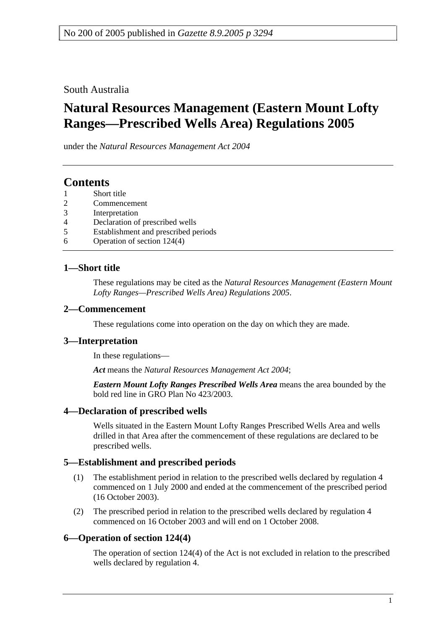South Australia

# **Natural Resources Management (Eastern Mount Lofty Ranges—Prescribed Wells Area) Regulations 2005**

under the *Natural Resources Management Act 2004*

## **Contents**

- Short title
- 2 Commencement
- 3 Interpretation
- 4 Declaration of prescribed wells
- 5 Establishment and prescribed periods
- 6 Operation of section 124(4)

#### **1—Short title**

These regulations may be cited as the *Natural Resources Management (Eastern Mount Lofty Ranges—Prescribed Wells Area) Regulations 2005*.

#### **2—Commencement**

These regulations come into operation on the day on which they are made.

#### **3—Interpretation**

In these regulations—

*Act* means the *Natural Resources Management Act 2004*;

*Eastern Mount Lofty Ranges Prescribed Wells Area* means the area bounded by the bold red line in GRO Plan No 423/2003.

#### **4—Declaration of prescribed wells**

Wells situated in the Eastern Mount Lofty Ranges Prescribed Wells Area and wells drilled in that Area after the commencement of these regulations are declared to be prescribed wells.

#### **5—Establishment and prescribed periods**

- (1) The establishment period in relation to the prescribed wells declared by regulation 4 commenced on 1 July 2000 and ended at the commencement of the prescribed period (16 October 2003).
- (2) The prescribed period in relation to the prescribed wells declared by regulation 4 commenced on 16 October 2003 and will end on 1 October 2008.

#### **6—Operation of section 124(4)**

The operation of section 124(4) of the Act is not excluded in relation to the prescribed wells declared by regulation 4.